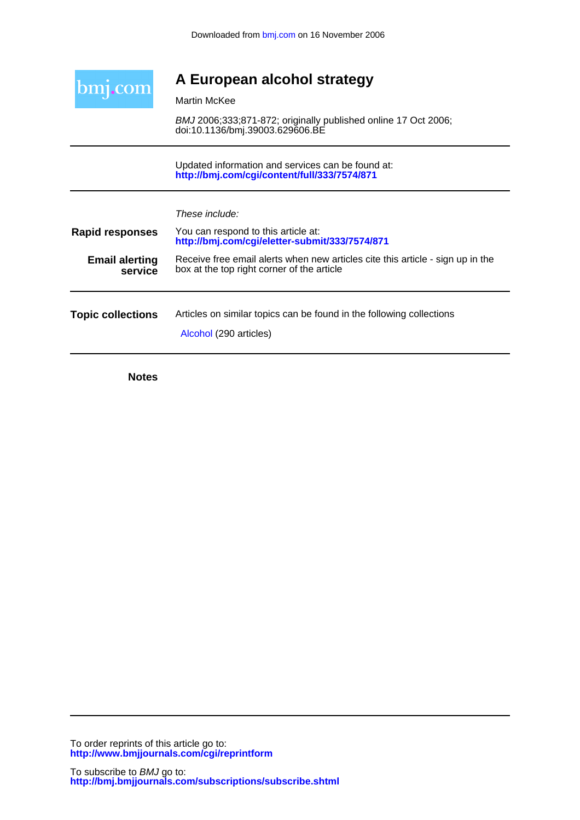

## **A European alcohol strategy**

### Martin McKee

doi:10.1136/bmj.39003.629606.BE BMJ 2006;333;871-872; originally published online 17 Oct 2006;

**<http://bmj.com/cgi/content/full/333/7574/871>** Updated information and services can be found at:

| <b>Rapid responses</b>           | These include:<br>You can respond to this article at:<br>http://bmj.com/cgi/eletter-submit/333/7574/871                      |
|----------------------------------|------------------------------------------------------------------------------------------------------------------------------|
| <b>Email alerting</b><br>service | Receive free email alerts when new articles cite this article - sign up in the<br>box at the top right corner of the article |
| <b>Topic collections</b>         | Articles on similar topics can be found in the following collections<br>Alcohol (290 articles)                               |

**Notes**

**<http://www.bmjjournals.com/cgi/reprintform>** To order reprints of this article go to: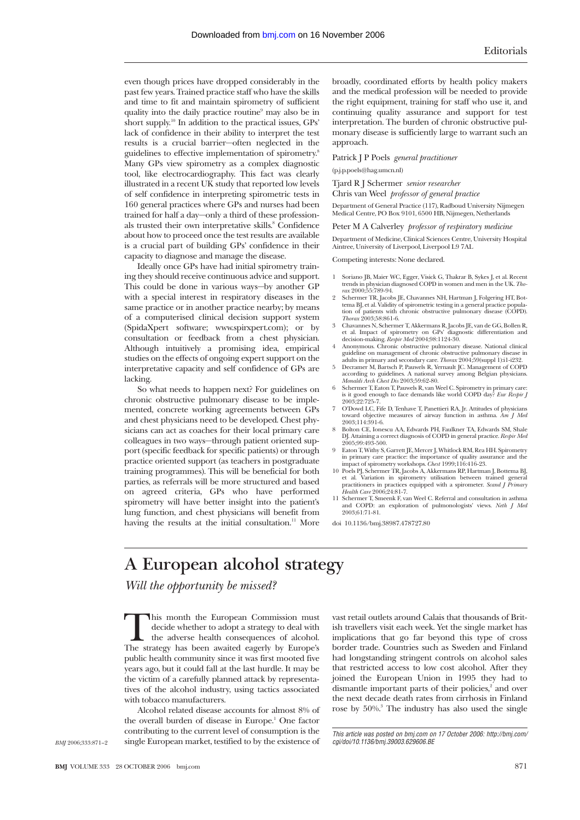even though prices have dropped considerably in the past few years. Trained practice staff who have the skills and time to fit and maintain spirometry of sufficient quality into the daily practice routine9 may also be in short supply.10 In addition to the practical issues, GPs' lack of confidence in their ability to interpret the test results is a crucial barrier—often neglected in the guidelines to effective implementation of spirometry.<sup>8</sup> Many GPs view spirometry as a complex diagnostic tool, like electrocardiography. This fact was clearly illustrated in a recent UK study that reported low levels of self confidence in interpreting spirometric tests in 160 general practices where GPs and nurses had been trained for half a day—only a third of these professionals trusted their own interpretative skills.<sup>8</sup> Confidence about how to proceed once the test results are available is a crucial part of building GPs' confidence in their capacity to diagnose and manage the disease.

Ideally once GPs have had initial spirometry training they should receive continuous advice and support. This could be done in various ways—by another GP with a special interest in respiratory diseases in the same practice or in another practice nearby; by means of a computerised clinical decision support system (SpidaXpert software; www.spirxpert.com); or by consultation or feedback from a chest physician. Although intuitively a promising idea, empirical studies on the effects of ongoing expert support on the interpretative capacity and self confidence of GPs are lacking.

So what needs to happen next? For guidelines on chronic obstructive pulmonary disease to be implemented, concrete working agreements between GPs and chest physicians need to be developed. Chest physicians can act as coaches for their local primary care colleagues in two ways—through patient oriented support (specific feedback for specific patients) or through practice oriented support (as teachers in postgraduate training programmes). This will be beneficial for both parties, as referrals will be more structured and based on agreed criteria, GPs who have performed spirometry will have better insight into the patient's lung function, and chest physicians will benefit from having the results at the initial consultation.<sup>11</sup> More

broadly, coordinated efforts by health policy makers and the medical profession will be needed to provide the right equipment, training for staff who use it, and continuing quality assurance and support for test interpretation. The burden of chronic obstructive pulmonary disease is sufficiently large to warrant such an approach.

#### Patrick J P Poels *general practitioner*

### (p.j.p.poels@hag.umcn.nl)

Tjard R J Schermer *senior researcher*

Chris van Weel *professor of general practice*

Department of General Practice (117), Radboud University Nijmegen Medical Centre, PO Box 9101, 6500 HB, Nijmegen, Netherlands

Peter M A Calverley *professor of respiratory medicine*

Department of Medicine, Clinical Sciences Centre, University Hospital Aintree, University of Liverpool, Liverpool L9 7AL

Competing interests: None declared.

- 1 Soriano JB, Maier WC, Egger, Visick G, Thakrar B, Sykes J, et al. Recent trends in physician diagnosed COPD in women and men in the UK. *Thorax* 2000;55:789-94.
- 2 Schermer TR, Jacobs JE, Chavannes NH, Hartman J, Folgering HT, Bot-tema BJ, et al. Validity of spirometric testing in a general practice population of patients with chronic obstructive pulmonary disease (COPD).<br>Thorax 2003:58:861-6.
- Thorax 2003;58:861-6.<br>
2 Chavannes N, Schermer T, Akkermans R, Jacobs JE, van de GG, Bollen R,<br>
2 et al. Impact of spirometry on GPs' diagnostic differentiation and<br>
decision-making. *Respir Med* 2004;98:1124-30.<br>
4 Anonym
- guideline on management of chronic obstructive pulmonary disease in adults in primary and secondary care. *Thorax* 2004;59(suppl 1):i1-i232.
- 5 Decramer M, Bartsch P, Pauwels R, Yernault JC. Management of COPD A national survey among Belgian physicians.<br>
Monaldi Arch Chest Dis 2003:59:62-80.
- *Monaldi Arch Chest Dis* 2003;59:62-80.<br>6 Schermer T, Eaton T, Pauwels R, van Weel C. Spirometry in primary care:<br>is it good enough to face demands like world COPD day? *Eur Respir J*<br>2003;22:725-7.<br>7 O'Dowd LC, Fife D, Te
- toward objective measures of airway function in asthma. *Am J Med* 2003;114:391-6.
- 8 Bolton CE, Ionescu AA, Edwards PH, Faulkner TA, Edwards SM, Shale DJ. Attaining a correct diagnosis of COPD in general practice. *Respir Med* 2005;99:493-500.
- 9 Eaton T, Withy S, Garrett JE, Mercer J, Whitlock RM, Rea HH. Spirometry in primary care practice: the importance of quality assurance and the<br>impact of spirometry workshops. *Chest* 1999;116:416-23.<br>10 Poels PJ, Schermer TR, Jacobs A, Akkermans RP, Hartman J, Bottema BJ<br>et al. Variation in spi
- practitioners in practices equipped with a spirometer. *Scand J Primary Health Care* 2006;24:81-7.
- 11 Schermer T, Smeenk F, van Weel C. Referral and consultation in asthma and COPD: an exploration of pulmonologists' views. *Neth J Med* 2003;61:71-81.

doi 10.1136/bmj.38987.478727.80

# **A European alcohol strategy**

*Will the opportunity be missed?*

This month the European Commission must<br>decide whether to adopt a strategy to deal with<br>the adverse health consequences of alcohol.<br>The strategy has been awaited eagerly by Europe's decide whether to adopt a strategy to deal with the adverse health consequences of alcohol. public health community since it was first mooted five years ago, but it could fall at the last hurdle. It may be the victim of a carefully planned attack by representatives of the alcohol industry, using tactics associated with tobacco manufacturers.

Alcohol related disease accounts for almost 8% of the overall burden of disease in Europe.<sup>1</sup> One factor contributing to the current level of consumption is the single European market, testified to by the existence of

vast retail outlets around Calais that thousands of British travellers visit each week. Yet the single market has implications that go far beyond this type of cross border trade. Countries such as Sweden and Finland had longstanding stringent controls on alcohol sales that restricted access to low cost alcohol. After they joined the European Union in 1995 they had to dismantle important parts of their policies,<sup>2</sup> and over the next decade death rates from cirrhosis in Finland rose by 50%.<sup>3</sup> The industry has also used the single

*BMJ* 2006;333:871–2

This article was posted on bmj.com on 17 October 2006: http://bmj.com/ cgi/doi/10.1136/bmj.39003.629606.BE